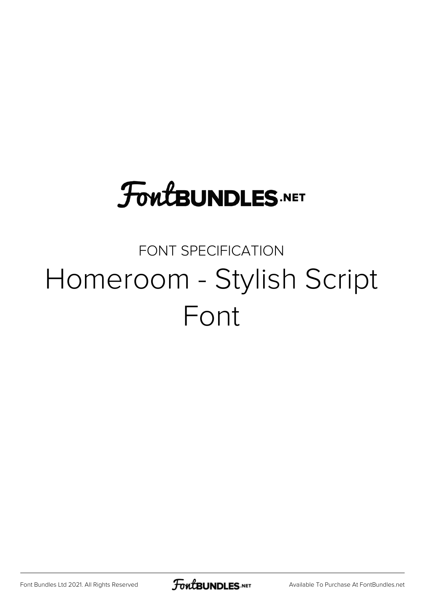## **FoutBUNDLES.NET**

## FONT SPECIFICATION Homeroom - Stylish Script Font

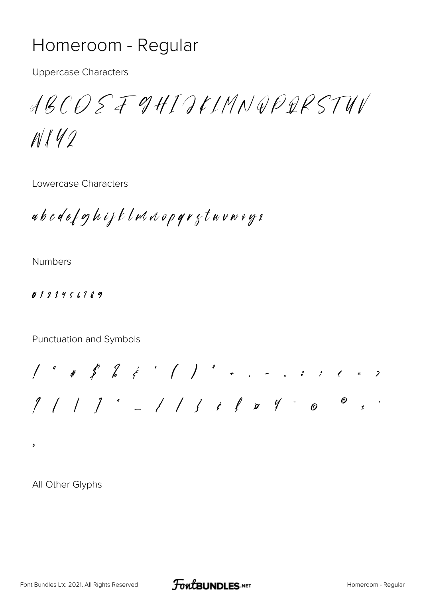## Homeroom - Regular

**Uppercase Characters** 

ABCOSF9HIJKLMNQPQRSTUV

 $N142$ 

Lowercase Characters

abodef ghift lwaap qr gtuvwrys

**Numbers** 

 $0123456789$ 

Punctuation and Symbols

 $1''$  # \$ & & ' ( ) ' + , - , ; ; ( = )  $\sim$  $\frac{1}{2}$ 

 $\overline{\phantom{a}}$ 

All Other Glyphs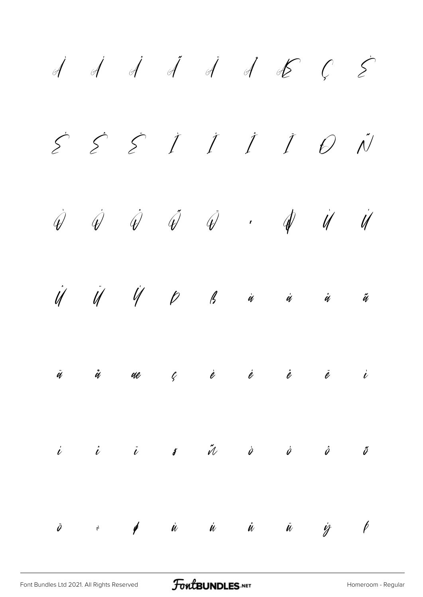$\dot A$   $\dot A$   $\dot A$   $\dot A$   $\dot A$   $\dot K$   $\cal C$   $\dot{\cal \Sigma}$ É Ê Ë Ì Í Î Ï Ð Ñ  $\dot{\mathscr{Q}}$   $\dot{\mathscr{Q}}$   $\dot{\mathscr{Q}}$   $\dot{\mathscr{Q}}$   $\dot{\mathscr{Q}}$   $\dot{\mathscr{Q}}$   $\dot{\mathscr{Q}}$   $\dot{\mathscr{Q}}$  $\dot{\mathcal{U}}$   $\dot{\mathcal{U}}$   $\dot{\mathcal{U}}$   $\dot{\mathcal{U}}$   $\dot{\mathcal{U}}$   $\dot{\mathcal{U}}$   $\dot{\mathcal{U}}$   $\dot{\mathcal{U}}$   $\dot{\mathcal{U}}$   $\dot{\mathcal{U}}$   $\dot{\mathcal{U}}$   $\dot{\mathcal{U}}$   $\dot{\mathcal{U}}$   $\dot{\mathcal{U}}$  $\ddot{q}$  å a $e$   $\ell$  è è è è  $\dot{e}$  $\begin{array}{cccccccccccccc} i & i & i & j & \tilde{u} & \tilde{v} & \tilde{v} & \tilde{v} & \tilde{v} & \tilde{v} & \tilde{v} & \tilde{v} & \tilde{v} & \tilde{v} & \tilde{v} & \tilde{v} & \tilde{v} & \tilde{v} & \tilde{v} & \tilde{v} & \tilde{v} & \tilde{v} & \tilde{v} & \tilde{v} & \tilde{v} & \tilde{v} & \tilde{v} & \tilde{v} & \tilde{v} & \tilde{v} & \tilde{v} & \tilde{v} & \tilde{v}$ ö ÷ ø ù ú û ü ý þ